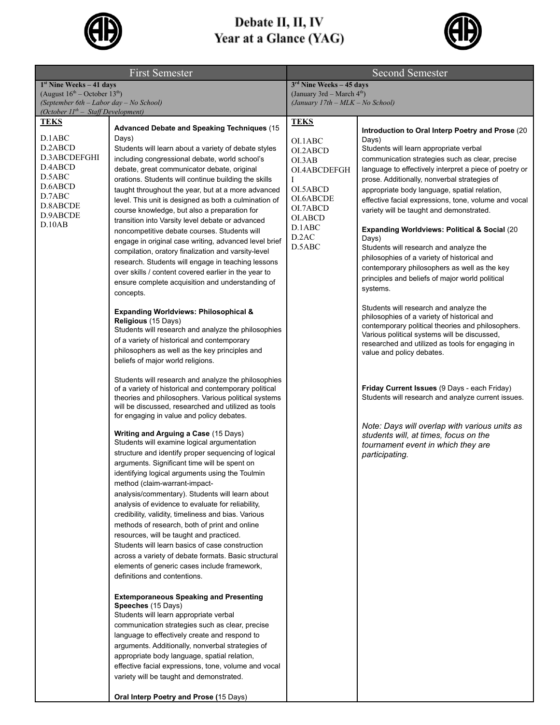

## **Debate II, II, IV<br>Year at a Glance (YAG)**



| <b>First Semester</b>                                                                                                        |                                                                                                                                                                                                                                                                                                                                                                                                                                                                                                                                                                                                                                                                                                                                                                                                                                                                                                                                                                                                                                                                                                                                                                                                                                                                                                                                                                                                                                                                                                                                                                                                                                                                                                                                                                                                                                                                                                                                                                                                                                                                                                                                                                                                                                                                                                                                                                                                                                                                                                                                                                           | <b>Second Semester</b>                                                                                                                                     |                                                                                                                                                                                                                                                                                                                                                                                                                                                                                                                                                                                                                                                                                                                                                                                                                                                                                                                                                                                                                                                                                                                                                                                                                              |
|------------------------------------------------------------------------------------------------------------------------------|---------------------------------------------------------------------------------------------------------------------------------------------------------------------------------------------------------------------------------------------------------------------------------------------------------------------------------------------------------------------------------------------------------------------------------------------------------------------------------------------------------------------------------------------------------------------------------------------------------------------------------------------------------------------------------------------------------------------------------------------------------------------------------------------------------------------------------------------------------------------------------------------------------------------------------------------------------------------------------------------------------------------------------------------------------------------------------------------------------------------------------------------------------------------------------------------------------------------------------------------------------------------------------------------------------------------------------------------------------------------------------------------------------------------------------------------------------------------------------------------------------------------------------------------------------------------------------------------------------------------------------------------------------------------------------------------------------------------------------------------------------------------------------------------------------------------------------------------------------------------------------------------------------------------------------------------------------------------------------------------------------------------------------------------------------------------------------------------------------------------------------------------------------------------------------------------------------------------------------------------------------------------------------------------------------------------------------------------------------------------------------------------------------------------------------------------------------------------------------------------------------------------------------------------------------------------------|------------------------------------------------------------------------------------------------------------------------------------------------------------|------------------------------------------------------------------------------------------------------------------------------------------------------------------------------------------------------------------------------------------------------------------------------------------------------------------------------------------------------------------------------------------------------------------------------------------------------------------------------------------------------------------------------------------------------------------------------------------------------------------------------------------------------------------------------------------------------------------------------------------------------------------------------------------------------------------------------------------------------------------------------------------------------------------------------------------------------------------------------------------------------------------------------------------------------------------------------------------------------------------------------------------------------------------------------------------------------------------------------|
| $1st$ Nine Weeks – 41 days                                                                                                   |                                                                                                                                                                                                                                                                                                                                                                                                                                                                                                                                                                                                                                                                                                                                                                                                                                                                                                                                                                                                                                                                                                                                                                                                                                                                                                                                                                                                                                                                                                                                                                                                                                                                                                                                                                                                                                                                                                                                                                                                                                                                                                                                                                                                                                                                                                                                                                                                                                                                                                                                                                           | $3rd$ Nine Weeks - 45 days                                                                                                                                 |                                                                                                                                                                                                                                                                                                                                                                                                                                                                                                                                                                                                                                                                                                                                                                                                                                                                                                                                                                                                                                                                                                                                                                                                                              |
| (August $16^{th}$ – October $13^{th}$ )<br>(September 6th - Labor day - No School)                                           |                                                                                                                                                                                                                                                                                                                                                                                                                                                                                                                                                                                                                                                                                                                                                                                                                                                                                                                                                                                                                                                                                                                                                                                                                                                                                                                                                                                                                                                                                                                                                                                                                                                                                                                                                                                                                                                                                                                                                                                                                                                                                                                                                                                                                                                                                                                                                                                                                                                                                                                                                                           | (January 3rd – March $4th$ )<br>(January 17th - MLK - No School)                                                                                           |                                                                                                                                                                                                                                                                                                                                                                                                                                                                                                                                                                                                                                                                                                                                                                                                                                                                                                                                                                                                                                                                                                                                                                                                                              |
| (October $II^{th}$ – Staff Development)                                                                                      |                                                                                                                                                                                                                                                                                                                                                                                                                                                                                                                                                                                                                                                                                                                                                                                                                                                                                                                                                                                                                                                                                                                                                                                                                                                                                                                                                                                                                                                                                                                                                                                                                                                                                                                                                                                                                                                                                                                                                                                                                                                                                                                                                                                                                                                                                                                                                                                                                                                                                                                                                                           |                                                                                                                                                            |                                                                                                                                                                                                                                                                                                                                                                                                                                                                                                                                                                                                                                                                                                                                                                                                                                                                                                                                                                                                                                                                                                                                                                                                                              |
| <b>TEKS</b><br>D.1ABC<br>D.2ABCD<br>D.3ABCDEFGHI<br>D.4ABCD<br>D.5ABC<br>D.6ABCD<br>D.7ABC<br>D.8ABCDE<br>D.9ABCDE<br>D.10AB | <b>Advanced Debate and Speaking Techniques (15)</b><br>Days)<br>Students will learn about a variety of debate styles<br>including congressional debate, world school's<br>debate, great communicator debate, original<br>orations. Students will continue building the skills<br>taught throughout the year, but at a more advanced<br>level. This unit is designed as both a culmination of<br>course knowledge, but also a preparation for<br>transition into Varsity level debate or advanced<br>noncompetitive debate courses. Students will<br>engage in original case writing, advanced level brief<br>compilation, oratory finalization and varsity-level<br>research. Students will engage in teaching lessons<br>over skills / content covered earlier in the year to<br>ensure complete acquisition and understanding of<br>concepts.<br><b>Expanding Worldviews: Philosophical &amp;</b><br>Religious (15 Days)<br>Students will research and analyze the philosophies<br>of a variety of historical and contemporary<br>philosophers as well as the key principles and<br>beliefs of major world religions.<br>Students will research and analyze the philosophies<br>of a variety of historical and contemporary political<br>theories and philosophers. Various political systems<br>will be discussed, researched and utilized as tools<br>for engaging in value and policy debates.<br>Writing and Arguing a Case (15 Days)<br>Students will examine logical argumentation<br>structure and identify proper sequencing of logical<br>arguments. Significant time will be spent on<br>identifying logical arguments using the Toulmin<br>method (claim-warrant-impact-<br>analysis/commentary). Students will learn about<br>analysis of evidence to evaluate for reliability,<br>credibility, validity, timeliness and bias. Various<br>methods of research, both of print and online<br>resources, will be taught and practiced.<br>Students will learn basics of case construction<br>across a variety of debate formats. Basic structural<br>elements of generic cases include framework,<br>definitions and contentions.<br><b>Extemporaneous Speaking and Presenting</b><br>Speeches (15 Days)<br>Students will learn appropriate verbal<br>communication strategies such as clear, precise<br>language to effectively create and respond to<br>arguments. Additionally, nonverbal strategies of<br>appropriate body language, spatial relation,<br>effective facial expressions, tone, volume and vocal<br>variety will be taught and demonstrated. | <b>TEKS</b><br>OI.1ABC<br>OI.2ABCD<br>O <sub>L</sub> 3AB<br>OI.4ABCDEFGH<br>I<br>OI.5ABCD<br>OI.6ABCDE<br>OI.7ABCD<br>OI.ABCD<br>D.1ABC<br>D.2AC<br>D.5ABC | Introduction to Oral Interp Poetry and Prose (20<br>Days)<br>Students will learn appropriate verbal<br>communication strategies such as clear, precise<br>language to effectively interpret a piece of poetry or<br>prose. Additionally, nonverbal strategies of<br>appropriate body language, spatial relation,<br>effective facial expressions, tone, volume and vocal<br>variety will be taught and demonstrated.<br>Expanding Worldviews: Political & Social (20<br>Days)<br>Students will research and analyze the<br>philosophies of a variety of historical and<br>contemporary philosophers as well as the key<br>principles and beliefs of major world political<br>systems.<br>Students will research and analyze the<br>philosophies of a variety of historical and<br>contemporary political theories and philosophers.<br>Various political systems will be discussed,<br>researched and utilized as tools for engaging in<br>value and policy debates.<br>Friday Current Issues (9 Days - each Friday)<br>Students will research and analyze current issues.<br>Note: Days will overlap with various units as<br>students will, at times, focus on the<br>tournament event in which they are<br>participating. |
|                                                                                                                              | Oral Interp Poetry and Prose (15 Days)                                                                                                                                                                                                                                                                                                                                                                                                                                                                                                                                                                                                                                                                                                                                                                                                                                                                                                                                                                                                                                                                                                                                                                                                                                                                                                                                                                                                                                                                                                                                                                                                                                                                                                                                                                                                                                                                                                                                                                                                                                                                                                                                                                                                                                                                                                                                                                                                                                                                                                                                    |                                                                                                                                                            |                                                                                                                                                                                                                                                                                                                                                                                                                                                                                                                                                                                                                                                                                                                                                                                                                                                                                                                                                                                                                                                                                                                                                                                                                              |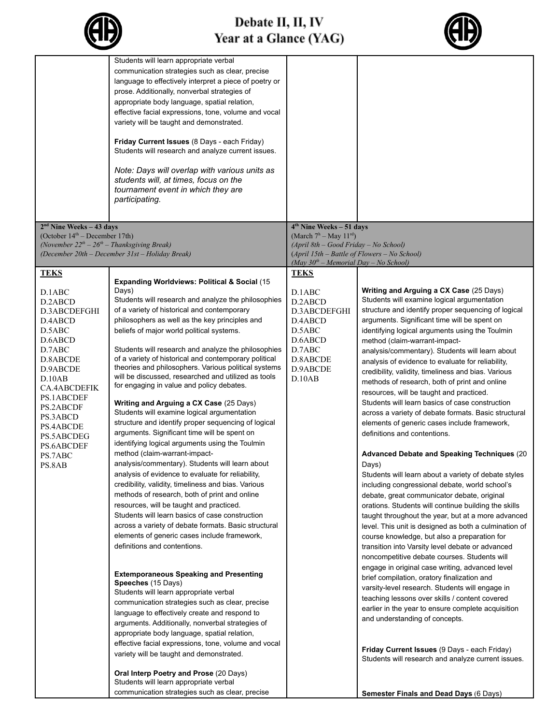| r |
|---|
|---|



|                                                                | Students will learn appropriate verbal<br>communication strategies such as clear, precise<br>language to effectively interpret a piece of poetry or<br>prose. Additionally, nonverbal strategies of<br>appropriate body language, spatial relation,<br>effective facial expressions, tone, volume and vocal<br>variety will be taught and demonstrated.<br>Friday Current Issues (8 Days - each Friday)<br>Students will research and analyze current issues. |                                                                                         |                                                                                                       |
|----------------------------------------------------------------|---------------------------------------------------------------------------------------------------------------------------------------------------------------------------------------------------------------------------------------------------------------------------------------------------------------------------------------------------------------------------------------------------------------------------------------------------------------|-----------------------------------------------------------------------------------------|-------------------------------------------------------------------------------------------------------|
|                                                                | Note: Days will overlap with various units as<br>students will, at times, focus on the<br>tournament event in which they are<br>participating.                                                                                                                                                                                                                                                                                                                |                                                                                         |                                                                                                       |
| $2nd$ Nine Weeks – 43 days<br>(October $14th$ – December 17th) |                                                                                                                                                                                                                                                                                                                                                                                                                                                               | $4th$ Nine Weeks – 51 days<br>(March $7h - May 11rd$ )                                  |                                                                                                       |
| (November $22^{th} - 26^{th} -$ Thanksgiving Break)            |                                                                                                                                                                                                                                                                                                                                                                                                                                                               | (April 8th - Good Friday - No School)                                                   |                                                                                                       |
|                                                                | (December 20th - December 31st - Holiday Break)                                                                                                                                                                                                                                                                                                                                                                                                               | (April 15th - Battle of Flowers - No School)<br>$(May 30th - Memorial Dav - No School)$ |                                                                                                       |
| <b>TEKS</b>                                                    |                                                                                                                                                                                                                                                                                                                                                                                                                                                               | <b>TEKS</b>                                                                             |                                                                                                       |
|                                                                | <b>Expanding Worldviews: Political &amp; Social (15</b>                                                                                                                                                                                                                                                                                                                                                                                                       |                                                                                         |                                                                                                       |
| D.1ABC<br>D.2ABCD                                              | Days)<br>Students will research and analyze the philosophies                                                                                                                                                                                                                                                                                                                                                                                                  | D.1ABC<br>D.2ABCD                                                                       | Writing and Arguing a CX Case (25 Days)<br>Students will examine logical argumentation                |
| D.3ABCDEFGHI                                                   | of a variety of historical and contemporary                                                                                                                                                                                                                                                                                                                                                                                                                   | D.3ABCDEFGHI                                                                            | structure and identify proper sequencing of logical                                                   |
| D.4ABCD                                                        | philosophers as well as the key principles and                                                                                                                                                                                                                                                                                                                                                                                                                | D.4ABCD                                                                                 | arguments. Significant time will be spent on                                                          |
| D.5ABC<br>D.6ABCD                                              | beliefs of major world political systems.                                                                                                                                                                                                                                                                                                                                                                                                                     | D.5ABC<br>D.6ABCD                                                                       | identifying logical arguments using the Toulmin                                                       |
| D.7ABC                                                         | Students will research and analyze the philosophies                                                                                                                                                                                                                                                                                                                                                                                                           | D.7ABC                                                                                  | method (claim-warrant-impact-<br>analysis/commentary). Students will learn about                      |
| D.8ABCDE                                                       | of a variety of historical and contemporary political                                                                                                                                                                                                                                                                                                                                                                                                         | D.8ABCDE                                                                                | analysis of evidence to evaluate for reliability,                                                     |
| D.9ABCDE<br>D.10AB                                             | theories and philosophers. Various political systems<br>will be discussed, researched and utilized as tools                                                                                                                                                                                                                                                                                                                                                   | D.9ABCDE<br>D.10AB                                                                      | credibility, validity, timeliness and bias. Various                                                   |
| CA.4ABCDEFIK                                                   | for engaging in value and policy debates.                                                                                                                                                                                                                                                                                                                                                                                                                     |                                                                                         | methods of research, both of print and online                                                         |
| PS.1ABCDEF                                                     |                                                                                                                                                                                                                                                                                                                                                                                                                                                               |                                                                                         | resources, will be taught and practiced.<br>Students will learn basics of case construction           |
| PS.2ABCDF                                                      | Writing and Arguing a CX Case (25 Days)<br>Students will examine logical argumentation                                                                                                                                                                                                                                                                                                                                                                        |                                                                                         | across a variety of debate formats. Basic structural                                                  |
| PS.3ABCD<br>PS.4ABCDE                                          | structure and identify proper sequencing of logical                                                                                                                                                                                                                                                                                                                                                                                                           |                                                                                         | elements of generic cases include framework,                                                          |
| PS.5ABCDEG                                                     | arguments. Significant time will be spent on                                                                                                                                                                                                                                                                                                                                                                                                                  |                                                                                         | definitions and contentions.                                                                          |
| PS.6ABCDEF                                                     | identifying logical arguments using the Toulmin                                                                                                                                                                                                                                                                                                                                                                                                               |                                                                                         |                                                                                                       |
| PS.7ABC                                                        | method (claim-warrant-impact-<br>analysis/commentary). Students will learn about                                                                                                                                                                                                                                                                                                                                                                              |                                                                                         | <b>Advanced Debate and Speaking Techniques (20)</b>                                                   |
| PS.8AB                                                         | analysis of evidence to evaluate for reliability,                                                                                                                                                                                                                                                                                                                                                                                                             |                                                                                         | Days)<br>Students will learn about a variety of debate styles                                         |
|                                                                | credibility, validity, timeliness and bias. Various                                                                                                                                                                                                                                                                                                                                                                                                           |                                                                                         | including congressional debate, world school's                                                        |
|                                                                | methods of research, both of print and online                                                                                                                                                                                                                                                                                                                                                                                                                 |                                                                                         | debate, great communicator debate, original                                                           |
|                                                                | resources, will be taught and practiced.                                                                                                                                                                                                                                                                                                                                                                                                                      |                                                                                         | orations. Students will continue building the skills                                                  |
|                                                                | Students will learn basics of case construction<br>across a variety of debate formats. Basic structural                                                                                                                                                                                                                                                                                                                                                       |                                                                                         | taught throughout the year, but at a more advanced                                                    |
|                                                                | elements of generic cases include framework,                                                                                                                                                                                                                                                                                                                                                                                                                  |                                                                                         | level. This unit is designed as both a culmination of<br>course knowledge, but also a preparation for |
|                                                                | definitions and contentions.                                                                                                                                                                                                                                                                                                                                                                                                                                  |                                                                                         | transition into Varsity level debate or advanced                                                      |
|                                                                |                                                                                                                                                                                                                                                                                                                                                                                                                                                               |                                                                                         | noncompetitive debate courses. Students will                                                          |
|                                                                | <b>Extemporaneous Speaking and Presenting</b>                                                                                                                                                                                                                                                                                                                                                                                                                 |                                                                                         | engage in original case writing, advanced level                                                       |
|                                                                | Speeches (15 Days)                                                                                                                                                                                                                                                                                                                                                                                                                                            |                                                                                         | brief compilation, oratory finalization and                                                           |
|                                                                | Students will learn appropriate verbal                                                                                                                                                                                                                                                                                                                                                                                                                        |                                                                                         | varsity-level research. Students will engage in<br>teaching lessons over skills / content covered     |
|                                                                | communication strategies such as clear, precise                                                                                                                                                                                                                                                                                                                                                                                                               |                                                                                         | earlier in the year to ensure complete acquisition                                                    |
|                                                                | language to effectively create and respond to<br>arguments. Additionally, nonverbal strategies of                                                                                                                                                                                                                                                                                                                                                             |                                                                                         | and understanding of concepts.                                                                        |
|                                                                | appropriate body language, spatial relation,                                                                                                                                                                                                                                                                                                                                                                                                                  |                                                                                         |                                                                                                       |
|                                                                | effective facial expressions, tone, volume and vocal                                                                                                                                                                                                                                                                                                                                                                                                          |                                                                                         |                                                                                                       |
|                                                                | variety will be taught and demonstrated.                                                                                                                                                                                                                                                                                                                                                                                                                      |                                                                                         | Friday Current Issues (9 Days - each Friday)<br>Students will research and analyze current issues.    |
|                                                                | Oral Interp Poetry and Prose (20 Days)<br>Students will learn appropriate verbal                                                                                                                                                                                                                                                                                                                                                                              |                                                                                         |                                                                                                       |
|                                                                | communication strategies such as clear, precise                                                                                                                                                                                                                                                                                                                                                                                                               |                                                                                         | <b>Semester Finals and Dead Days (6 Days)</b>                                                         |